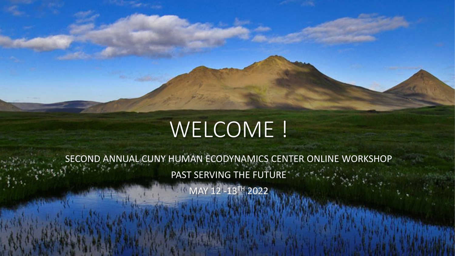## WELCOME !

SECOND ANNUAL CUNY HUMAN ECODYNAMICS CENTER ONLINE WORKSHOP PAST SERVING THE FUTURE THE REAL PROPERTY.

MAY 12 -13TH 2022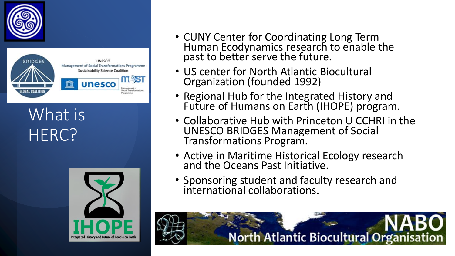



What is HERC?



- CUNY Center for Coordinating Long Term Human Ecodynamics research to enable the past to better serve the future.
- US center for North Atlantic Biocultural Organization (founded 1992)
- Regional Hub for the Integrated History and Future of Humans on Earth (IHOPE) program.
- Collaborative Hub with Princeton U CCHRI in the UNESCO BRIDGES Management of Social Transformations Program.
- Active in Maritime Historical Ecology research and the Oceans Past Initiative.
- Sponsoring student and faculty research and international collaborations.

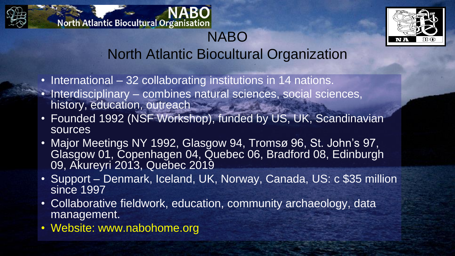



## North Atlantic Biocultural Organization

NABO

- International 32 collaborating institutions in 14 nations.
- Interdisciplinary combines natural sciences, social sciences, history, education, outreach
- Founded 1992 (NSF Workshop), funded by US, UK, Scandinavian sources
- Major Meetings NY 1992, Glasgow 94, Tromsø 96, St. John's 97, Glasgow 01, Copenhagen 04, Quebec 06, Bradford 08, Edinburgh 09, Akureyri 2013, Quebec 2019
- Support Denmark, Iceland, UK, Norway, Canada, US: c \$35 million since 1997
- Collaborative fieldwork, education, community archaeology, data management.
- Website: www.nabohome.org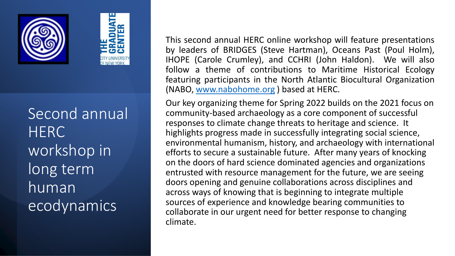

## Second annual **HERC** workshop in long term human ecodynamics

This second annual HERC online workshop will feature presentations by leaders of BRIDGES (Steve Hartman), Oceans Past (Poul Holm), IHOPE (Carole Crumley), and CCHRI (John Haldon). We will also follow a theme of contributions to Maritime Historical Ecology featuring participants in the North Atlantic Biocultural Organization (NABO, [www.nabohome.org](http://www.nabohome.org/) ) based at HERC.

Our key organizing theme for Spring 2022 builds on the 2021 focus on community-based archaeology as a core component of successful responses to climate change threats to heritage and science. It highlights progress made in successfully integrating social science, environmental humanism, history, and archaeology with international efforts to secure a sustainable future. After many years of knocking on the doors of hard science dominated agencies and organizations entrusted with resource management for the future, we are seeing doors opening and genuine collaborations across disciplines and across ways of knowing that is beginning to integrate multiple sources of experience and knowledge bearing communities to collaborate in our urgent need for better response to changing climate.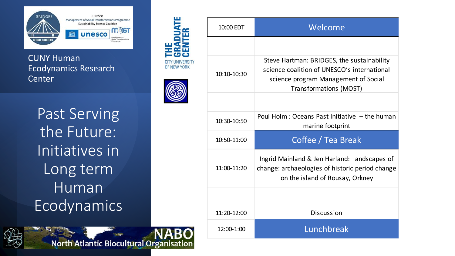

**VERSIT** 

OF NEW YORK

CUNY Human Ecodynamics Research Center

Past Serving the Future: Initiatives in Long term Human Ecodynamics

North Atlantic Biocultural Organisation

| 10:00 EDT       | Welcome                                                                                                                                                            |
|-----------------|--------------------------------------------------------------------------------------------------------------------------------------------------------------------|
|                 |                                                                                                                                                                    |
| $10:10 - 10:30$ | Steve Hartman: BRIDGES, the sustainability<br>science coalition of UNESCO's international<br>science program Management of Social<br><b>Transformations (MOST)</b> |
|                 |                                                                                                                                                                    |
| 10:30-10:50     | Poul Holm : Oceans Past Initiative $-$ the human<br>marine footprint                                                                                               |
| 10:50-11:00     | Coffee / Tea Break                                                                                                                                                 |
| 11:00-11:20     | Ingrid Mainland & Jen Harland: landscapes of<br>change: archaeologies of historic period change<br>on the island of Rousay, Orkney                                 |
|                 |                                                                                                                                                                    |
| 11:20-12:00     | Discussion                                                                                                                                                         |
| 12:00-1:00      | Lunchbreak                                                                                                                                                         |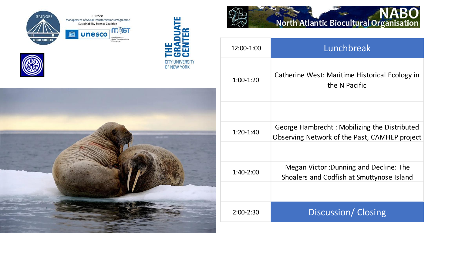







OF NEW YORK



| 12:00-1:00    | Lunchbreak                                                                                    |
|---------------|-----------------------------------------------------------------------------------------------|
| $1:00-1:20$   | Catherine West: Maritime Historical Ecology in<br>the N Pacific                               |
|               |                                                                                               |
| $1:20-1:40$   | George Hambrecht: Mobilizing the Distributed<br>Observing Network of the Past, CAMHEP project |
|               |                                                                                               |
| $1:40-2:00$   | Megan Victor: Dunning and Decline: The<br>Shoalers and Codfish at Smuttynose Island           |
|               |                                                                                               |
| $2:00 - 2:30$ | Discussion/Closing                                                                            |

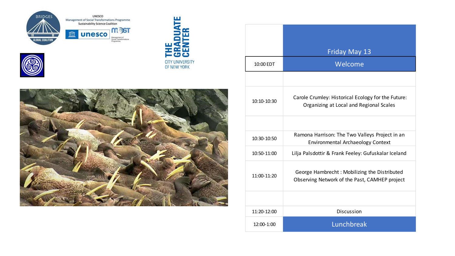







|             | Friday May 13                                                                                 |
|-------------|-----------------------------------------------------------------------------------------------|
| 10:00 EDT   | Welcome                                                                                       |
|             |                                                                                               |
| 10:10-10:30 | Carole Crumley: Historical Ecology for the Future:<br>Organizing at Local and Regional Scales |
|             |                                                                                               |
| 10:30-10:50 | Ramona Harrison: The Two Valleys Project in an<br><b>Environmental Archaeology Context</b>    |
| 10:50-11:00 | Lilja Palsdottir & Frank Feeley: Gufuskalar Iceland                                           |
| 11:00-11:20 | George Hambrecht: Mobilizing the Distributed<br>Observing Network of the Past, CAMHEP project |
|             |                                                                                               |
| 11:20-12:00 | <b>Discussion</b>                                                                             |
| 12:00-1:00  | Lunchbreak                                                                                    |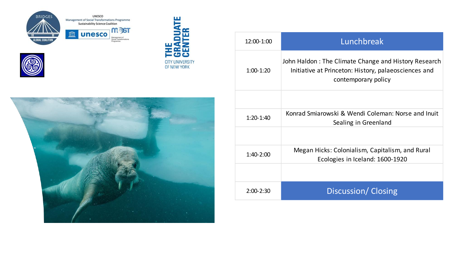







| $12:00-1:00$  | Lunchbreak                                                                                                                          |
|---------------|-------------------------------------------------------------------------------------------------------------------------------------|
| $1:00-1:20$   | John Haldon: The Climate Change and History Research<br>Initiative at Princeton: History, palaeosciences and<br>contemporary policy |
|               |                                                                                                                                     |
| $1:20-1:40$   | Konrad Smiarowski & Wendi Coleman: Norse and Inuit<br>Sealing in Greenland                                                          |
|               |                                                                                                                                     |
| $1:40-2:00$   | Megan Hicks: Colonialism, Capitalism, and Rural<br>Ecologies in Iceland: 1600-1920                                                  |
|               |                                                                                                                                     |
| $2:00 - 2:30$ | Discussion/Closing                                                                                                                  |